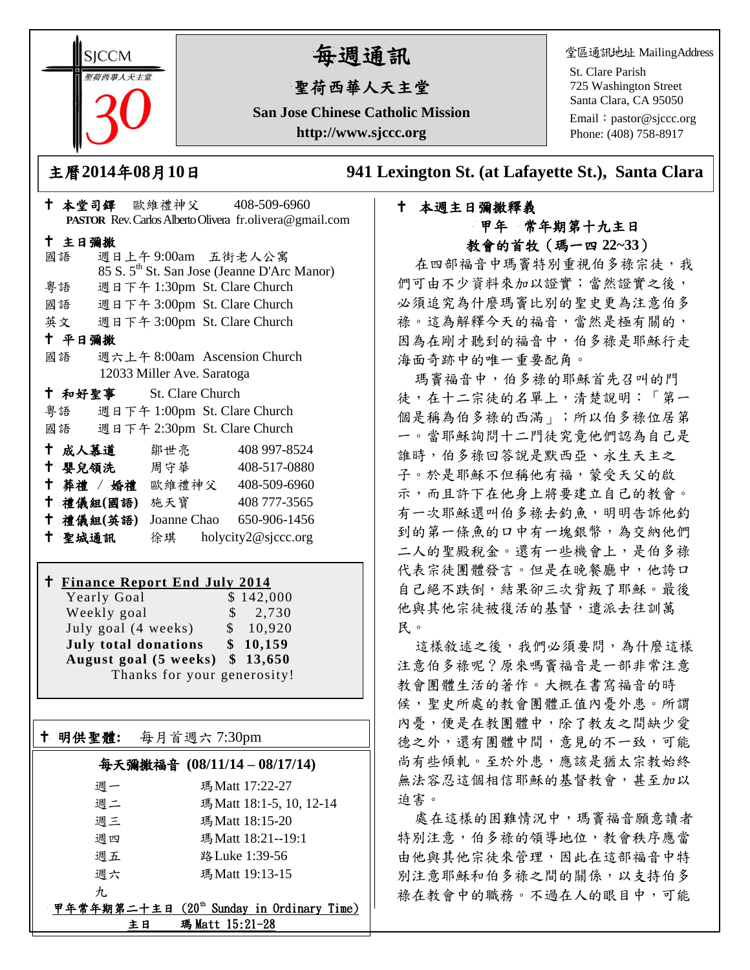**SICCM** 荷西華人天主?

# 每週通訊

# 聖荷西華人天主堂

**San Jose Chinese Catholic Mission http://www.sjccc.org**

堂區通訊地址 MailingAddress

St. Clare Parish 725 Washington Street Santa Clara, CA 95050

Email: [pastor@sjccc.org](mailto:pastor@sjccc.org) Phone: (408) 758-8917

主曆**2014**年**08**月**10**日 **941 Lexington St. (at Lafayette St.), Santa Clara** 

# 本週主日彌撒釋義 甲年 常年期第十九主日 教會的首牧(瑪一四 **22~33**)

在四部福音中瑪竇特別重視伯多祿宗徒,我 們可由不少資料來加以證實;當然證實之後, 必須追究為什麼瑪竇比別的聖史更為注意伯多 祿。這為解釋今天的福音,當然是極有關的, 因為在剛才聽到的福音中,伯多祿是耶穌行走 海面奇跡中的唯一重要配角。

瑪竇福音中,伯多祿的耶穌首先召叫的門 徒,在十二宗徒的名單上,清楚說明:「第一 個是稱為伯多祿的西滿」;所以伯多祿位居第 一。當耶穌詢問十二門徒究竟他們認為自己是 誰時,伯多祿回答說是默西亞、永生天主之 子。於是耶穌不但稱他有福,蒙受天父的啟 示,而且許下在他身上將要建立自己的教會。 有一次耶穌還叫伯多祿去釣魚,明明告訴他釣 到的第一條魚的口中有一塊銀幣,為交納他們 二人的聖殿稅金。還有一些機會上,是伯多祿 代表宗徒團體發言。但是在晚餐廳中,他誇口 自己絕不跌倒,結果卻三次背叛了耶穌。最後 他與其他宗徒被復活的基督,遣派去往訓萬 民。

這樣敘述之後,我們必須要問,為什麼這樣 注意伯多祿呢?原來嗎竇福音是一部非常注意 教會團體生活的著作。大概在書寫福音的時 候,聖史所處的教會團體正值內憂外患。所謂 內憂,便是在教團體中,除了教友之間缺少愛 德之外,還有團體中間,意見的不一致,可能 尚有些傾軋。至於外患,應該是猶太宗教始終 無法容忍這個相信耶穌的基督教會,甚至加以 迫害。

處在這樣的困難情況中,瑪竇福音願意讀者 特別注意,伯多祿的領導地位,教會秩序應當 由他與其他宗徒來管理,因此在這部福音中特 別注意耶穌和伯多祿之間的關係,以支持伯多 祿在教會中的職務。不過在人的眼目中,可能

|        |        |                                    |                            |  | PASTOR Rev. Carlos Alberto Olivera fr.olivera@gmail.com |  |
|--------|--------|------------------------------------|----------------------------|--|---------------------------------------------------------|--|
| 十 主日彌撒 |        |                                    |                            |  |                                                         |  |
|        |        |                                    |                            |  |                                                         |  |
|        | 國語     |                                    |                            |  | 週日上午9:00am 五街老人公寓                                       |  |
|        |        |                                    |                            |  | 85 S. 5 <sup>th</sup> St. San Jose (Jeanne D'Arc Manor) |  |
|        | 粤語     |                                    |                            |  | 週日下午 1:30pm St. Clare Church                            |  |
|        |        |                                    |                            |  | 國語 週日下午 3:00pm St. Clare Church                         |  |
|        |        |                                    |                            |  | 英文 週日下午 3:00pm St. Clare Church                         |  |
| 十 平日彌撒 |        |                                    |                            |  |                                                         |  |
|        | 國語     |                                    |                            |  | 週六上午 8:00am Ascension Church                            |  |
|        |        |                                    | 12033 Miller Ave. Saratoga |  |                                                         |  |
|        |        | <sup>†</sup> 和好聖事 St. Clare Church |                            |  |                                                         |  |
|        |        |                                    |                            |  | 粤語 週日下午 1:00pm St. Clare Church                         |  |
|        |        |                                    |                            |  | 國語 週日下午 2:30pm St. Clare Church                         |  |
|        |        | † 成人慕道   鄒世亮                       |                            |  | 408 997-8524                                            |  |
|        |        |                                    |                            |  | † 嬰兒領洗 周守華 408-517-0880                                 |  |
|        |        |                                    |                            |  | † 葬禮 / 婚禮 歐維禮神父 408-509-6960                            |  |
|        |        | 十 禮儀組(國語) 施天寶                      |                            |  | 408 777-3565                                            |  |
|        |        | 十 禮儀組(英語)                          |                            |  | Joanne Chao 650-906-1456                                |  |
|        | 十 聖城通訊 |                                    |                            |  | 徐琪 holycity2@sjccc.org                                  |  |

十 本堂司鐸 歐維禮神父 408-509-6960

### **Finance Report End July 2014**

Yearly Goal \$142,000 Weekly goal  $\qquad$  \$ 2,730 July goal  $(4 \text{ weeks})$  \$ 10,920 **July total donations \$ 10,159 August goal (5 weeks) \$ 13,650** Thanks for your generosity!

明供聖體**:** 每月首週六 7:30pm

Ξ

### 每天彌撒福音 **(08/11/14 – 08/17/14)**

| 週一             | 瑪Matt 17:22-27                                        |
|----------------|-------------------------------------------------------|
| 週二             | 瑪 Matt 18:1-5, 10, 12-14                              |
| 週三             | 瑪Matt 18:15-20                                        |
| 週四             | 瑪Matt 18:21--19:1                                     |
| 週五             | 路 Luke 1:39-56                                        |
| 週六             | 瑪Matt 19:13-15                                        |
| $\mathcal{H}.$ |                                                       |
|                | 甲年常年期第二十主日 (20 <sup>th</sup> Sunday in Ordinary Time) |
| ŧВ             | 瑪 Matt 15:21-28                                       |